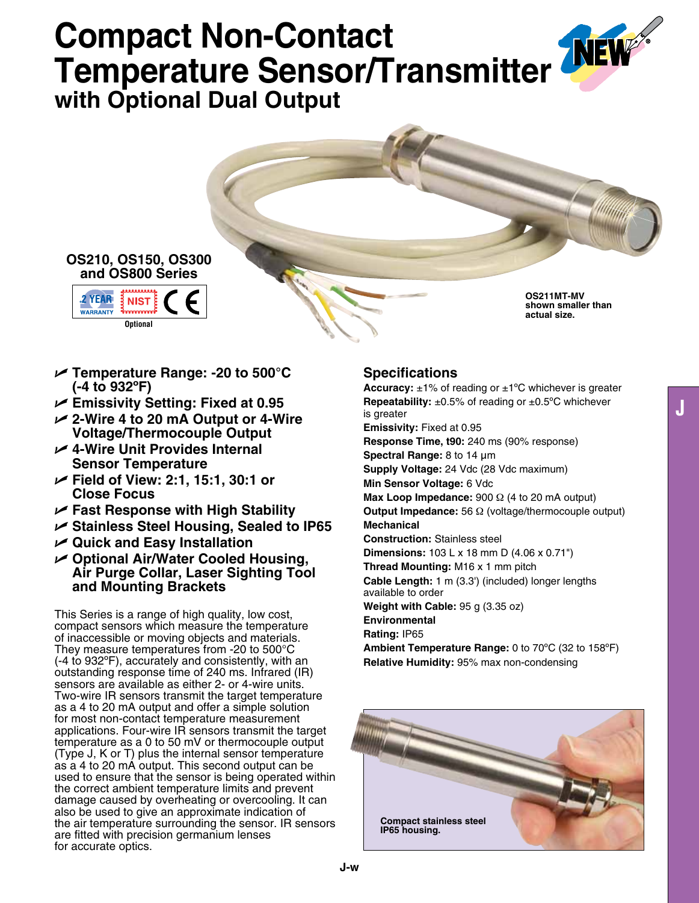# **Compact Non-Contact Temperature Sensor/Transmitter with Optional Dual Output**



- U **Temperature Range: -20 to 500°C (-4 to 932ºF)**
- U **Emissivity Setting: Fixed at 0.95**
- U **2-Wire 4 to 20 mA Output or 4-Wire Voltage/Thermocouple Output**
- U **4-Wire Unit Provides Internal Sensor Temperature**
- U **Field of View: 2:1, 15:1, 30:1 or Close Focus**
- U **Fast Response with High Stability**
- U **Stainless Steel Housing, Sealed to IP65**
- U **Quick and Easy Installation**
- U **Optional Air/Water Cooled Housing, Air Purge Collar, Laser Sighting Tool and Mounting Brackets**

This Series is a range of high quality, low cost, compact sensors which measure the temperature of inaccessible or moving objects and materials. They measure temperatures from -20 to 500°C (-4 to 932ºF), accurately and consistently, with an outstanding response time of 240 ms. Infrared (IR) sensors are available as either 2- or 4-wire units. Two-wire IR sensors transmit the target temperature as a 4 to 20 mA output and offer a simple solution for most non-contact temperature measurement applications. Four-wire IR sensors transmit the target temperature as a 0 to 50 mV or thermocouple output (Type J, K or T) plus the internal sensor temperature as a 4 to 20 mA output. This second output can be used to ensure that the sensor is being operated within the correct ambient temperature limits and prevent damage caused by overheating or overcooling. It can also be used to give an approximate indication of the air temperature surrounding the sensor. IR sensors are fitted with precision germanium lenses for accurate optics.

## **Specifications**

**Accuracy:** ±1% of reading or ±1ºC whichever is greater **Repeatability:** ±0.5% of reading or ±0.5ºC whichever is greater **Emissivity:** Fixed at 0.95 **Response Time, t90:** 240 ms (90% response) **Spectral Range:** 8 to 14 μm **Supply Voltage:** 24 Vdc (28 Vdc maximum) **Min Sensor Voltage:** 6 Vdc **Max Loop Impedance:** 900 Ω (4 to 20 mA output) **Output Impedance:** 56 Ω (voltage/thermocouple output) **Mechanical Construction:** Stainless steel **Dimensions:** 103 L x 18 mm D (4.06 x 0.71") **Thread Mounting:** M16 x 1 mm pitch **Cable Length:** 1 m (3.3') (included) longer lengths available to order **Weight with Cable:** 95 g (3.35 oz) **Environmental Rating:** IP65 **Ambient Temperature Range:** 0 to 70ºC (32 to 158ºF) **Relative Humidity:** 95% max non-condensing



**J**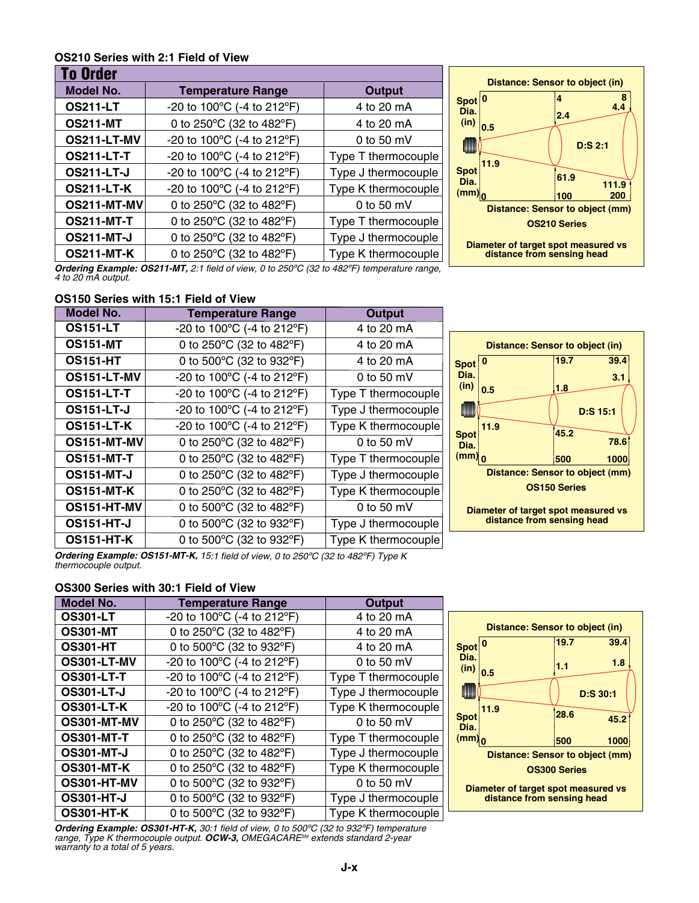#### **OS210 Series with 2:1 Field of View**

| To Order          |                            |                     |
|-------------------|----------------------------|---------------------|
| Model No.         | <b>Temperature Range</b>   | Output              |
| <b>OS211-LT</b>   | -20 to 100°C (-4 to 212°F) | 4 to 20 mA          |
| <b>OS211-MT</b>   | 0 to 250°C (32 to 482°F)   | 4 to 20 mA          |
| OS211-LT-MV       | -20 to 100°C (-4 to 212°F) | 0 to 50 $mV$        |
| <b>OS211-LT-T</b> | -20 to 100°C (-4 to 212°F) | Type T thermocouple |
| <b>OS211-LT-J</b> | -20 to 100°C (-4 to 212°F) | Type J thermocouple |
| <b>OS211-LT-K</b> | -20 to 100°C (-4 to 212°F) | Type K thermocouple |
| OS211-MT-MV       | 0 to 250°C (32 to 482°F)   | 0 to 50 mV          |
| <b>OS211-MT-T</b> | 0 to 250°C (32 to 482°F)   | Type T thermocouple |
| <b>OS211-MT-J</b> | 0 to 250°C (32 to 482°F)   | Type J thermocouple |
| <b>OS211-MT-K</b> | 0 to 250°C (32 to 482°F)   | Type K thermocouple |



*Ordering Example: OS211-MT, 2:1 field of view, 0 to 250ºC (32 to 482ºF) temperature range, 4 to 20 mA output.*

## **OS150 Series with 15:1 Field of View**

| <b>Model No.</b>  | <b>Temperature Range</b>                       | <b>Output</b>       |
|-------------------|------------------------------------------------|---------------------|
| <b>OS151-LT</b>   | -20 to 100°C (-4 to 212°F)                     | 4 to 20 mA          |
| <b>OS151-MT</b>   | 0 to 250°C (32 to 482°F)                       | 4 to 20 mA          |
| <b>OS151-HT</b>   | 0 to 500°C (32 to 932°F)                       | 4 to 20 mA          |
| OS151-LT-MV       | -20 to 100°C (-4 to 212°F)                     | 0 to 50 $mV$        |
| <b>OS151-LT-T</b> | -20 to 100°C (-4 to 212°F)                     | Type T thermocouple |
| <b>OS151-LT-J</b> | -20 to 100°C (-4 to 212°F)                     | Type J thermocouple |
| <b>OS151-LT-K</b> | -20 to $100^{\circ}$ C (-4 to $212^{\circ}$ F) | Type K thermocouple |
| OS151-MT-MV       | 0 to 250°C (32 to 482°F)                       | 0 to 50 mV          |
| <b>OS151-MT-T</b> | 0 to 250°C (32 to 482°F)                       | Type T thermocouple |
| <b>OS151-MT-J</b> | 0 to 250°C (32 to 482°F)                       | Type J thermocouple |
| <b>OS151-MT-K</b> | 0 to 250°C (32 to 482°F)                       | Type K thermocouple |
| OS151-HT-MV       | 0 to 500°C (32 to 482°F)                       | 0 to 50 mV          |
| <b>OS151-HT-J</b> | 0 to 500°C (32 to 932°F)                       | Type J thermocouple |
| <b>OS151-HT-K</b> | 0 to 500°C (32 to 932°F)                       | Type K thermocouple |



*Ordering Example: OS151-MT-K, 15:1 field of view, 0 to 250ºC (32 to 482ºF) Type K thermocouple output.*

## **OS300 Series with 30:1 Field of View**

| <b>Model No.</b>  | <b>Temperature Range</b>                        | Output              |                                     |                                        |           |
|-------------------|-------------------------------------------------|---------------------|-------------------------------------|----------------------------------------|-----------|
| <b>OS301-LT</b>   | -20 to $100^{\circ}$ C (-4 to 212 $^{\circ}$ F) | 4 to 20 mA          |                                     |                                        |           |
| <b>OS301-MT</b>   | 0 to 250°C (32 to 482°F)                        | 4 to 20 mA          |                                     | <b>Distance: Sensor to object (in)</b> |           |
| <b>OS301-HT</b>   | 0 to 500°C (32 to 932°F)                        | 4 to 20 mA          | $Spot$ <sup>0</sup>                 | 19.7                                   | 39.4      |
| OS301-LT-MV       | -20 to 100°C (-4 to 212°F)                      | 0 to 50 $mV$        | Dia.                                | 1.1                                    | 1.8       |
| <b>OS301-LT-T</b> | -20 to $100^{\circ}$ C (-4 to $212^{\circ}$ F)  | Type T thermocouple | $(in)$ 0.5                          |                                        |           |
| <b>OS301-LT-J</b> | -20 to $100^{\circ}$ C (-4 to $212^{\circ}$ F)  | Type J thermocouple |                                     |                                        | D: S 30:1 |
| <b>OS301-LT-K</b> | -20 to $100^{\circ}$ C (-4 to $212^{\circ}$ F)  | Type K thermocouple | 11.9                                | 28.6                                   |           |
| OS301-MT-MV       | 0 to 250°C (32 to 482°F)                        | 0 to 50 $mV$        | Spot<br>Dia.                        |                                        | 45.2      |
| <b>OS301-MT-T</b> | 0 to 250°C (32 to 482°F)                        | Type T thermocouple | $(mm)$ <sub>0</sub>                 | 500                                    | 1000i     |
| <b>OS301-MT-J</b> | 0 to 250°C (32 to 482°F)                        | Type J thermocouple |                                     | Distance: Sensor to object (mm)        |           |
| <b>OS301-MT-K</b> | 0 to 250°C (32 to 482°F)                        | Type K thermocouple |                                     | <b>OS300 Series</b>                    |           |
| OS301-HT-MV       | 0 to 500°C (32 to 932°F)                        | 0 to 50 $mV$        | Diameter of target spot measured vs |                                        |           |
| <b>OS301-HT-J</b> | 0 to 500°C (32 to 932°F)                        | Type J thermocouple |                                     | distance from sensing head             |           |
| <b>OS301-HT-K</b> | 0 to 500°C (32 to 932°F)                        | Type K thermocouple |                                     |                                        |           |



*Ordering Example: OS301-HT-K, 30:1 field of view, 0 to 500ºC (32 to 932ºF) temperature range, Type K thermocouple output. OCW-3, OMEGACARESM extends standard 2-year warranty to a total of 5 years.*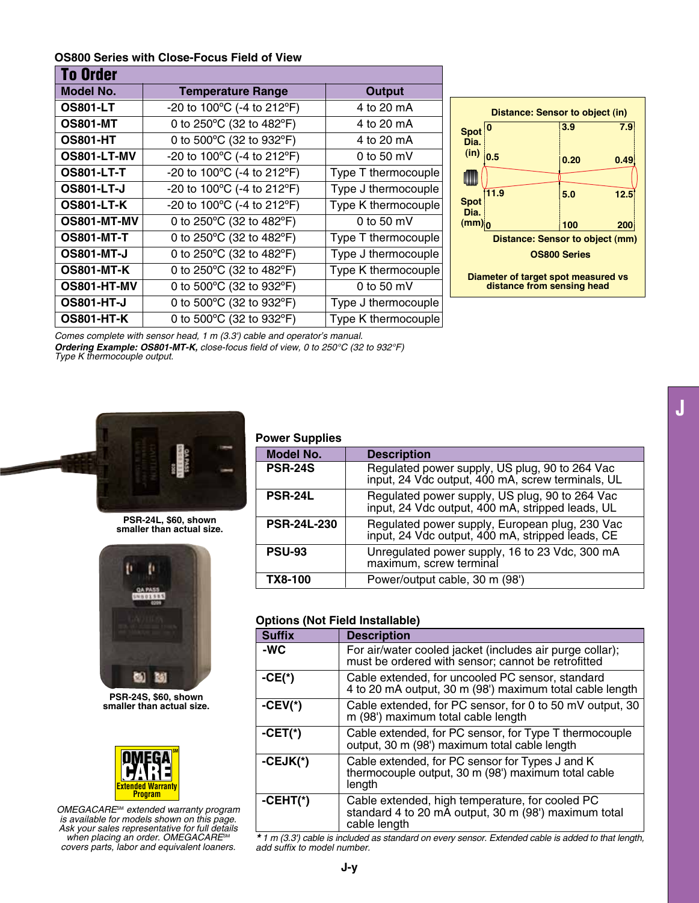#### **OS800 Series with Close-Focus Field of View**

| <b>To Order</b>   |                                                |                     |                             |                                |
|-------------------|------------------------------------------------|---------------------|-----------------------------|--------------------------------|
| <b>Model No.</b>  | <b>Temperature Range</b>                       | Output              |                             |                                |
| <b>OS801-LT</b>   | -20 to $100^{\circ}$ C (-4 to $212^{\circ}$ F) | 4 to 20 mA          |                             | <b>Distance: Sensor to ol</b>  |
| <b>OS801-MT</b>   | 0 to 250°C (32 to 482°F)                       | 4 to 20 mA          | Spot <sup>0</sup>           | 3.9                            |
| <b>OS801-HT</b>   | 0 to 500°C (32 to 932°F)                       | 4 to 20 mA          | Dia.                        |                                |
| OS801-LT-MV       | -20 to $100^{\circ}$ C (-4 to $212^{\circ}$ F) | 0 to 50 $mV$        | $(in)$ 0.5                  | 0.20                           |
| <b>OS801-LT-T</b> | -20 to $100^{\circ}$ C (-4 to 212°F)           | Type T thermocouple | <b>AND</b>                  |                                |
| <b>OS801-LT-J</b> | -20 to $100^{\circ}$ C (-4 to $212^{\circ}$ F) | Type J thermocouple | 11.9                        | 5.0                            |
| <b>OS801-LT-K</b> | -20 to $100^{\circ}$ C (-4 to $212^{\circ}$ F) | Type K thermocouple | <b>Spot</b><br>Dia.         |                                |
| OS801-MT-MV       | 0 to 250°C (32 to 482°F)                       | 0 to 50 $mV$        | (mm) <sub>10</sub>          | 100                            |
| <b>OS801-MT-T</b> | 0 to 250°C (32 to 482°F)                       | Type T thermocouple |                             | <b>Distance: Sensor to o</b>   |
| <b>OS801-MT-J</b> | 0 to 250°C (32 to 482°F)                       | Type J thermocouple |                             | <b>OS800 Series</b>            |
| <b>OS801-MT-K</b> | 0 to 250°C (32 to 482°F)                       | Type K thermocouple | Diameter of target spot mea |                                |
| OS801-HT-MV       | 0 to 500°C (32 to 932°F)                       | 0 to 50 $mV$        |                             | distance from sensing <b>h</b> |
| <b>OS801-HT-J</b> | $\overline{0}$ to 500°C (32 to 932°F)          | Type J thermocouple |                             |                                |
| <b>OS801-HT-K</b> | 0 to 500°C (32 to 932°F)                       | Type K thermocouple |                             |                                |



**J**

*Comes complete with sensor head, 1 m (3.3') cable and operator's manual. Ordering Example: OS801-MT-K, close-focus field of view, 0 to 250°C (32 to 932°F) Type K thermocouple output.*



**PSR-24L, \$60, shown smaller than actual size.**



**PSR-24S, \$60, shown smaller than actual size.**



*OMEGACARE*SM *extended warranty program is available for models shown on this page. Ask your sales representative for full details when placing an order. OMEGACARE*SM *covers parts, labor and equivalent loaners.*

## **Power Supplies**

| <b>OWEL OUPPIIES</b> |                                                                                                     |
|----------------------|-----------------------------------------------------------------------------------------------------|
| <b>Model No.</b>     | <b>Description</b>                                                                                  |
| <b>PSR-24S</b>       | Regulated power supply, US plug, 90 to 264 Vac<br>input, 24 Vdc output, 400 mA, screw terminals, UL |
| <b>PSR-24L</b>       | Regulated power supply, US plug, 90 to 264 Vac<br>input, 24 Vdc output, 400 mA, stripped leads, UL  |
| <b>PSR-24L-230</b>   | Regulated power supply, European plug, 230 Vac<br>input, 24 Vdc output, 400 mA, stripped leads, CE  |
| <b>PSU-93</b>        | Unregulated power supply, 16 to 23 Vdc, 300 mA<br>maximum, screw terminal                           |
| TX8-100              | Power/output cable, 30 m (98')                                                                      |
|                      |                                                                                                     |

#### **Options (Not Field Installable)**

| <b>Suffix</b> | <b>Description</b>                                                                                                      |  |
|---------------|-------------------------------------------------------------------------------------------------------------------------|--|
| -WC           | For air/water cooled jacket (includes air purge collar);<br>must be ordered with sensor; cannot be retrofitted          |  |
| $-CE(*)$      | Cable extended, for uncooled PC sensor, standard<br>4 to 20 mA output, 30 m (98') maximum total cable length            |  |
| $-CEV*$       | Cable extended, for PC sensor, for 0 to 50 mV output, 30<br>m (98') maximum total cable length                          |  |
| $-CET(*)$     | Cable extended, for PC sensor, for Type T thermocouple<br>output, 30 m (98') maximum total cable length                 |  |
| $-CEJK(*)$    | Cable extended, for PC sensor for Types J and K<br>thermocouple output, 30 m (98') maximum total cable<br>length        |  |
| $-CEHT(*)$    | Cable extended, high temperature, for cooled PC<br>standard 4 to 20 mA output, 30 m (98') maximum total<br>cable length |  |

*\* 1 m (3.3') cable is included as standard on every sensor. Extended cable is added to that length, add suffix to model number.*